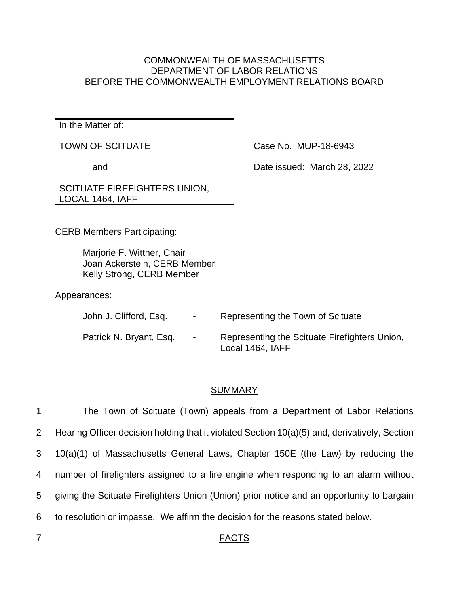## COMMONWEALTH OF MASSACHUSETTS DEPARTMENT OF LABOR RELATIONS BEFORE THE COMMONWEALTH EMPLOYMENT RELATIONS BOARD

In the Matter of:

TOWN OF SCITUATE

and

Case No. MUP-18-6943

Date issued: March 28, 2022

## SCITUATE FIREFIGHTERS UNION, LOCAL 1464, IAFF

CERB Members Participating:

Marjorie F. Wittner, Chair Joan Ackerstein, CERB Member Kelly Strong, CERB Member

## Appearances:

| John J. Clifford, Esq.  | $\sim$ | Representing the Town of Scituate                                 |
|-------------------------|--------|-------------------------------------------------------------------|
| Patrick N. Bryant, Esq. | $\sim$ | Representing the Scituate Firefighters Union,<br>Local 1464, IAFF |

## SUMMARY

 The Town of Scituate (Town) appeals from a Department of Labor Relations Hearing Officer decision holding that it violated Section 10(a)(5) and, derivatively, Section 10(a)(1) of Massachusetts General Laws, Chapter 150E (the Law) by reducing the number of firefighters assigned to a fire engine when responding to an alarm without giving the Scituate Firefighters Union (Union) prior notice and an opportunity to bargain to resolution or impasse. We affirm the decision for the reasons stated below.

## 7 FACTS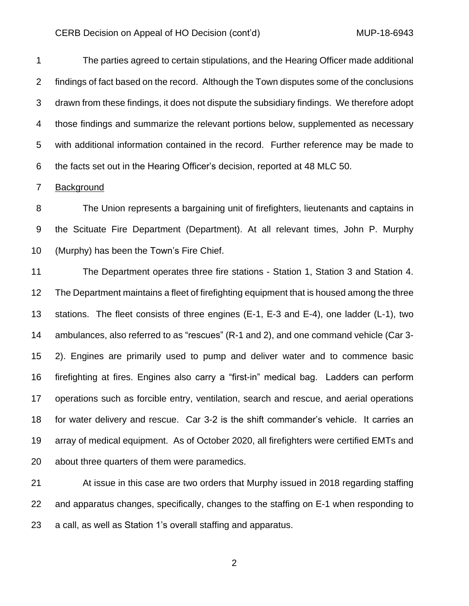The parties agreed to certain stipulations, and the Hearing Officer made additional findings of fact based on the record. Although the Town disputes some of the conclusions drawn from these findings, it does not dispute the subsidiary findings. We therefore adopt those findings and summarize the relevant portions below, supplemented as necessary with additional information contained in the record. Further reference may be made to the facts set out in the Hearing Officer's decision, reported at 48 MLC 50.

Background

 The Union represents a bargaining unit of firefighters, lieutenants and captains in the Scituate Fire Department (Department). At all relevant times, John P. Murphy (Murphy) has been the Town's Fire Chief.

 The Department operates three fire stations - Station 1, Station 3 and Station 4. The Department maintains a fleet of firefighting equipment that is housed among the three stations. The fleet consists of three engines (E-1, E-3 and E-4), one ladder (L-1), two ambulances, also referred to as "rescues" (R-1 and 2), and one command vehicle (Car 3- 2). Engines are primarily used to pump and deliver water and to commence basic firefighting at fires. Engines also carry a "first-in" medical bag. Ladders can perform operations such as forcible entry, ventilation, search and rescue, and aerial operations for water delivery and rescue. Car 3-2 is the shift commander's vehicle. It carries an array of medical equipment. As of October 2020, all firefighters were certified EMTs and about three quarters of them were paramedics.

 At issue in this case are two orders that Murphy issued in 2018 regarding staffing and apparatus changes, specifically, changes to the staffing on E-1 when responding to a call, as well as Station 1's overall staffing and apparatus.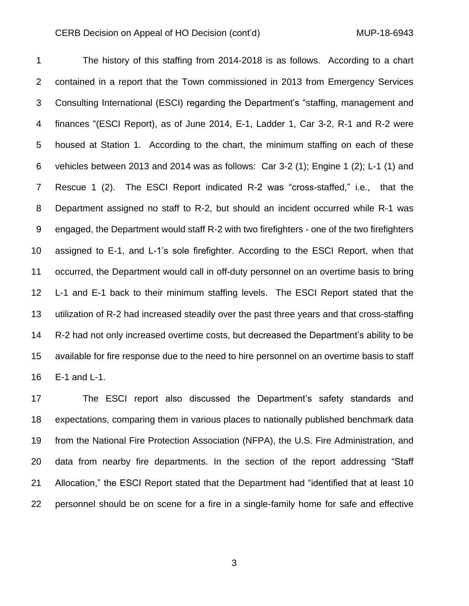The history of this staffing from 2014-2018 is as follows. According to a chart contained in a report that the Town commissioned in 2013 from Emergency Services Consulting International (ESCI) regarding the Department's "staffing, management and finances "(ESCI Report), as of June 2014, E-1, Ladder 1, Car 3-2, R-1 and R-2 were housed at Station 1. According to the chart, the minimum staffing on each of these vehicles between 2013 and 2014 was as follows: Car 3-2 (1); Engine 1 (2); L-1 (1) and Rescue 1 (2). The ESCI Report indicated R-2 was "cross-staffed," i.e., that the Department assigned no staff to R-2, but should an incident occurred while R-1 was engaged, the Department would staff R-2 with two firefighters - one of the two firefighters assigned to E-1, and L-1's sole firefighter. According to the ESCI Report, when that occurred, the Department would call in off-duty personnel on an overtime basis to bring L-1 and E-1 back to their minimum staffing levels. The ESCI Report stated that the utilization of R-2 had increased steadily over the past three years and that cross-staffing R-2 had not only increased overtime costs, but decreased the Department's ability to be available for fire response due to the need to hire personnel on an overtime basis to staff E-1 and L-1.

 The ESCI report also discussed the Department's safety standards and expectations, comparing them in various places to nationally published benchmark data from the National Fire Protection Association (NFPA), the U.S. Fire Administration, and data from nearby fire departments. In the section of the report addressing "Staff Allocation," the ESCI Report stated that the Department had "identified that at least 10 personnel should be on scene for a fire in a single-family home for safe and effective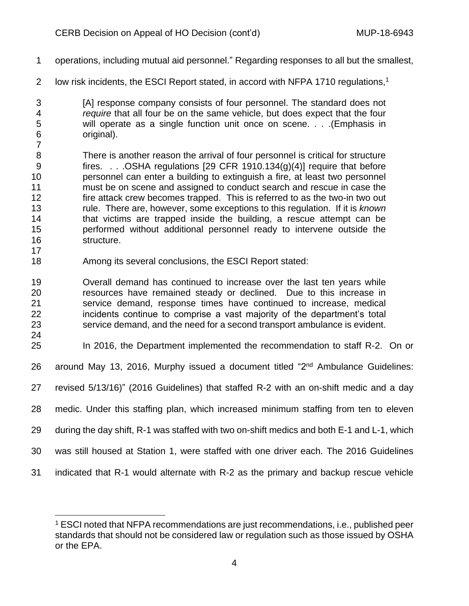- operations, including mutual aid personnel." Regarding responses to all but the smallest,
- 2 low risk incidents, the ESCI Report stated, in accord with NFPA 1710 regulations,<sup>1</sup>
- [A] response company consists of four personnel. The standard does not *require* that all four be on the same vehicle, but does expect that the four will operate as a single function unit once on scene. . . .(Emphasis in original).
- There is another reason the arrival of four personnel is critical for structure fires. . . .OSHA regulations [29 CFR 1910.134(g)(4)] require that before personnel can enter a building to extinguish a fire, at least two personnel must be on scene and assigned to conduct search and rescue in case the fire attack crew becomes trapped. This is referred to as the two-in two out rule. There are, however, some exceptions to this regulation. If it is *known* that victims are trapped inside the building, a rescue attempt can be performed without additional personnel ready to intervene outside the structure.
- Among its several conclusions, the ESCI Report stated:
- Overall demand has continued to increase over the last ten years while resources have remained steady or declined. Due to this increase in service demand, response times have continued to increase, medical incidents continue to comprise a vast majority of the department's total service demand, and the need for a second transport ambulance is evident.
- 

- In 2016, the Department implemented the recommendation to staff R-2. On or
- 26 around May 13, 2016, Murphy issued a document titled "2<sup>nd</sup> Ambulance Guidelines:
- revised 5/13/16)" (2016 Guidelines) that staffed R-2 with an on-shift medic and a day
- medic. Under this staffing plan, which increased minimum staffing from ten to eleven
- during the day shift, R-1 was staffed with two on-shift medics and both E-1 and L-1, which
- was still housed at Station 1, were staffed with one driver each. The 2016 Guidelines
- indicated that R-1 would alternate with R-2 as the primary and backup rescue vehicle

 ESCI noted that NFPA recommendations are just recommendations, i.e., published peer standards that should not be considered law or regulation such as those issued by OSHA or the EPA.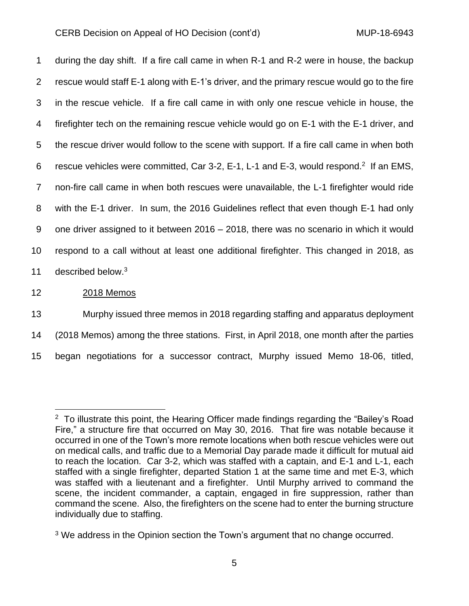during the day shift. If a fire call came in when R-1 and R-2 were in house, the backup rescue would staff E-1 along with E-1's driver, and the primary rescue would go to the fire in the rescue vehicle. If a fire call came in with only one rescue vehicle in house, the firefighter tech on the remaining rescue vehicle would go on E-1 with the E-1 driver, and the rescue driver would follow to the scene with support. If a fire call came in when both 6 rescue vehicles were committed, Car 3-2, E-1, L-1 and E-3, would respond.<sup>2</sup> If an EMS, non-fire call came in when both rescues were unavailable, the L-1 firefighter would ride with the E-1 driver. In sum, the 2016 Guidelines reflect that even though E-1 had only one driver assigned to it between 2016 – 2018, there was no scenario in which it would respond to a call without at least one additional firefighter. This changed in 2018, as 11 described below.<sup>3</sup>

## 12 2018 Memos

13 Murphy issued three memos in 2018 regarding staffing and apparatus deployment

14 (2018 Memos) among the three stations. First, in April 2018, one month after the parties

15 began negotiations for a successor contract, Murphy issued Memo 18-06, titled,

 $2$  To illustrate this point, the Hearing Officer made findings regarding the "Bailey's Road Fire," a structure fire that occurred on May 30, 2016. That fire was notable because it occurred in one of the Town's more remote locations when both rescue vehicles were out on medical calls, and traffic due to a Memorial Day parade made it difficult for mutual aid to reach the location. Car 3-2, which was staffed with a captain, and E-1 and L-1, each staffed with a single firefighter, departed Station 1 at the same time and met E-3, which was staffed with a lieutenant and a firefighter. Until Murphy arrived to command the scene, the incident commander, a captain, engaged in fire suppression, rather than command the scene. Also, the firefighters on the scene had to enter the burning structure individually due to staffing.

<sup>&</sup>lt;sup>3</sup> We address in the Opinion section the Town's argument that no change occurred.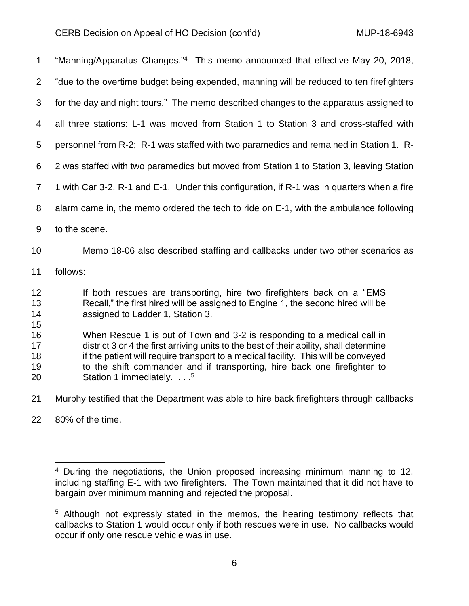| $\mathbf 1$                | "Manning/Apparatus Changes."4 This memo announced that effective May 20, 2018,                                                                                                                                                                                                                                                                                             |
|----------------------------|----------------------------------------------------------------------------------------------------------------------------------------------------------------------------------------------------------------------------------------------------------------------------------------------------------------------------------------------------------------------------|
| 2                          | "due to the overtime budget being expended, manning will be reduced to ten firefighters                                                                                                                                                                                                                                                                                    |
| 3                          | for the day and night tours." The memo described changes to the apparatus assigned to                                                                                                                                                                                                                                                                                      |
| 4                          | all three stations: L-1 was moved from Station 1 to Station 3 and cross-staffed with                                                                                                                                                                                                                                                                                       |
| 5                          | personnel from R-2; R-1 was staffed with two paramedics and remained in Station 1. R-                                                                                                                                                                                                                                                                                      |
| 6                          | 2 was staffed with two paramedics but moved from Station 1 to Station 3, leaving Station                                                                                                                                                                                                                                                                                   |
| $\overline{7}$             | 1 with Car 3-2, R-1 and E-1. Under this configuration, if R-1 was in quarters when a fire                                                                                                                                                                                                                                                                                  |
| 8                          | alarm came in, the memo ordered the tech to ride on E-1, with the ambulance following                                                                                                                                                                                                                                                                                      |
| $9\,$                      | to the scene.                                                                                                                                                                                                                                                                                                                                                              |
| 10                         | Memo 18-06 also described staffing and callbacks under two other scenarios as                                                                                                                                                                                                                                                                                              |
| 11                         | follows:                                                                                                                                                                                                                                                                                                                                                                   |
| 12<br>13<br>14<br>15       | If both rescues are transporting, hire two firefighters back on a "EMS"<br>Recall," the first hired will be assigned to Engine 1, the second hired will be<br>assigned to Ladder 1, Station 3.                                                                                                                                                                             |
| 16<br>17<br>18<br>19<br>20 | When Rescue 1 is out of Town and 3-2 is responding to a medical call in<br>district 3 or 4 the first arriving units to the best of their ability, shall determine<br>if the patient will require transport to a medical facility. This will be conveyed<br>to the shift commander and if transporting, hire back one firefighter to<br>Station 1 immediately. <sup>5</sup> |
| 21                         | Murphy testified that the Department was able to hire back firefighters through callbacks                                                                                                                                                                                                                                                                                  |

80% of the time.

 During the negotiations, the Union proposed increasing minimum manning to 12, including staffing E-1 with two firefighters. The Town maintained that it did not have to bargain over minimum manning and rejected the proposal.

<sup>&</sup>lt;sup>5</sup> Although not expressly stated in the memos, the hearing testimony reflects that callbacks to Station 1 would occur only if both rescues were in use. No callbacks would occur if only one rescue vehicle was in use.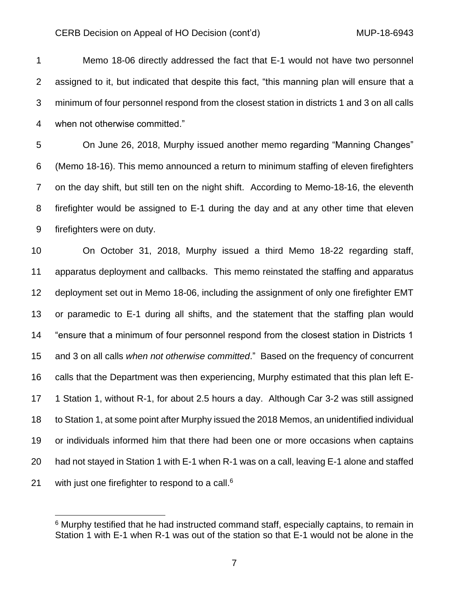Memo 18-06 directly addressed the fact that E-1 would not have two personnel assigned to it, but indicated that despite this fact, "this manning plan will ensure that a minimum of four personnel respond from the closest station in districts 1 and 3 on all calls when not otherwise committed."

 On June 26, 2018, Murphy issued another memo regarding "Manning Changes" (Memo 18-16). This memo announced a return to minimum staffing of eleven firefighters on the day shift, but still ten on the night shift. According to Memo-18-16, the eleventh firefighter would be assigned to E-1 during the day and at any other time that eleven firefighters were on duty.

 On October 31, 2018, Murphy issued a third Memo 18-22 regarding staff, apparatus deployment and callbacks. This memo reinstated the staffing and apparatus deployment set out in Memo 18-06, including the assignment of only one firefighter EMT or paramedic to E-1 during all shifts, and the statement that the staffing plan would "ensure that a minimum of four personnel respond from the closest station in Districts 1 and 3 on all calls *when not otherwise committed*." Based on the frequency of concurrent calls that the Department was then experiencing, Murphy estimated that this plan left E- 1 Station 1, without R-1, for about 2.5 hours a day. Although Car 3-2 was still assigned to Station 1, at some point after Murphy issued the 2018 Memos, an unidentified individual or individuals informed him that there had been one or more occasions when captains had not stayed in Station 1 with E-1 when R-1 was on a call, leaving E-1 alone and staffed 21 with just one firefighter to respond to a call.<sup>6</sup>

<sup>&</sup>lt;sup>6</sup> Murphy testified that he had instructed command staff, especially captains, to remain in Station 1 with E-1 when R-1 was out of the station so that E-1 would not be alone in the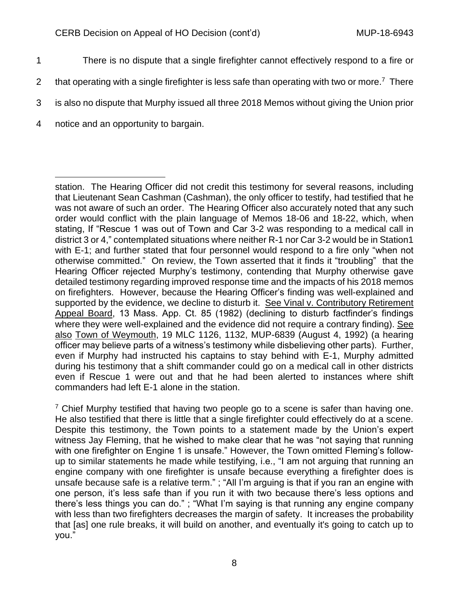- 1 There is no dispute that a single firefighter cannot effectively respond to a fire or
- 2 that operating with a single firefighter is less safe than operating with two or more.<sup>7</sup> There
- 3 is also no dispute that Murphy issued all three 2018 Memos without giving the Union prior
- 4 notice and an opportunity to bargain.

station. The Hearing Officer did not credit this testimony for several reasons, including that Lieutenant Sean Cashman (Cashman), the only officer to testify, had testified that he was not aware of such an order. The Hearing Officer also accurately noted that any such order would conflict with the plain language of Memos 18-06 and 18-22, which, when stating, If "Rescue 1 was out of Town and Car 3-2 was responding to a medical call in district 3 or 4," contemplated situations where neither R-1 nor Car 3-2 would be in Station1 with E-1; and further stated that four personnel would respond to a fire only "when not otherwise committed." On review, the Town asserted that it finds it "troubling" that the Hearing Officer rejected Murphy's testimony, contending that Murphy otherwise gave detailed testimony regarding improved response time and the impacts of his 2018 memos on firefighters. However, because the Hearing Officer's finding was well-explained and supported by the evidence, we decline to disturb it. See Vinal v. Contributory Retirement Appeal Board, 13 Mass. App. Ct. 85 (1982) (declining to disturb factfinder's findings where they were well-explained and the evidence did not require a contrary finding). See also Town of Weymouth, 19 MLC 1126, 1132, MUP-6839 (August 4, 1992) (a hearing officer may believe parts of a witness's testimony while disbelieving other parts). Further, even if Murphy had instructed his captains to stay behind with E-1, Murphy admitted during his testimony that a shift commander could go on a medical call in other districts even if Rescue 1 were out and that he had been alerted to instances where shift commanders had left E-1 alone in the station.

 $7$  Chief Murphy testified that having two people go to a scene is safer than having one. He also testified that there is little that a single firefighter could effectively do at a scene. Despite this testimony, the Town points to a statement made by the Union's expert witness Jay Fleming, that he wished to make clear that he was "not saying that running with one firefighter on Engine 1 is unsafe." However, the Town omitted Fleming's followup to similar statements he made while testifying, i.e., "I am not arguing that running an engine company with one firefighter is unsafe because everything a firefighter does is unsafe because safe is a relative term." ; "All I'm arguing is that if you ran an engine with one person, it's less safe than if you run it with two because there's less options and there's less things you can do." ; "What I'm saying is that running any engine company with less than two firefighters decreases the margin of safety. It increases the probability that [as] one rule breaks, it will build on another, and eventually it's going to catch up to you."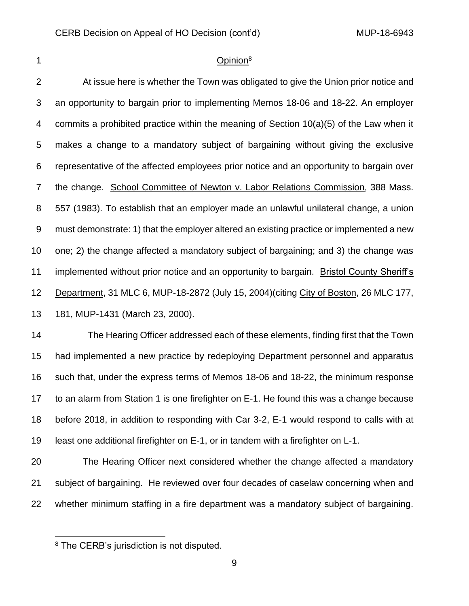## 1 Opinion<sup>8</sup>

 At issue here is whether the Town was obligated to give the Union prior notice and an opportunity to bargain prior to implementing Memos 18-06 and 18-22. An employer commits a prohibited practice within the meaning of Section 10(a)(5) of the Law when it makes a change to a mandatory subject of bargaining without giving the exclusive representative of the affected employees prior notice and an opportunity to bargain over the change. School Committee of Newton v. Labor Relations Commission, 388 Mass. 557 (1983). To establish that an employer made an unlawful unilateral change, a union must demonstrate: 1) that the employer altered an existing practice or implemented a new one; 2) the change affected a mandatory subject of bargaining; and 3) the change was implemented without prior notice and an opportunity to bargain. Bristol County Sheriff's Department, 31 MLC 6, MUP-18-2872 (July 15, 2004)(citing City of Boston, 26 MLC 177, 181, MUP-1431 (March 23, 2000).

14 The Hearing Officer addressed each of these elements, finding first that the Town had implemented a new practice by redeploying Department personnel and apparatus such that, under the express terms of Memos 18-06 and 18-22, the minimum response to an alarm from Station 1 is one firefighter on E-1. He found this was a change because before 2018, in addition to responding with Car 3-2, E-1 would respond to calls with at least one additional firefighter on E-1, or in tandem with a firefighter on L-1.

 The Hearing Officer next considered whether the change affected a mandatory subject of bargaining. He reviewed over four decades of caselaw concerning when and whether minimum staffing in a fire department was a mandatory subject of bargaining.

<sup>&</sup>lt;sup>8</sup> The CERB's jurisdiction is not disputed.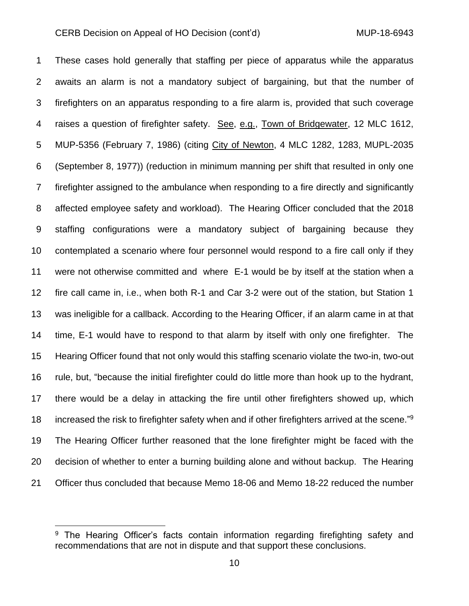These cases hold generally that staffing per piece of apparatus while the apparatus awaits an alarm is not a mandatory subject of bargaining, but that the number of firefighters on an apparatus responding to a fire alarm is, provided that such coverage raises a question of firefighter safety. See, e.g., Town of Bridgewater, 12 MLC 1612, MUP-5356 (February 7, 1986) (citing City of Newton, 4 MLC 1282, 1283, MUPL-2035 (September 8, 1977)) (reduction in minimum manning per shift that resulted in only one firefighter assigned to the ambulance when responding to a fire directly and significantly affected employee safety and workload). The Hearing Officer concluded that the 2018 staffing configurations were a mandatory subject of bargaining because they contemplated a scenario where four personnel would respond to a fire call only if they were not otherwise committed and where E-1 would be by itself at the station when a fire call came in, i.e., when both R-1 and Car 3-2 were out of the station, but Station 1 was ineligible for a callback. According to the Hearing Officer, if an alarm came in at that time, E-1 would have to respond to that alarm by itself with only one firefighter. The Hearing Officer found that not only would this staffing scenario violate the two-in, two-out rule, but, "because the initial firefighter could do little more than hook up to the hydrant, there would be a delay in attacking the fire until other firefighters showed up, which 18 increased the risk to firefighter safety when and if other firefighters arrived at the scene."<sup>9</sup> The Hearing Officer further reasoned that the lone firefighter might be faced with the decision of whether to enter a burning building alone and without backup. The Hearing Officer thus concluded that because Memo 18-06 and Memo 18-22 reduced the number

<sup>&</sup>lt;sup>9</sup> The Hearing Officer's facts contain information regarding firefighting safety and recommendations that are not in dispute and that support these conclusions.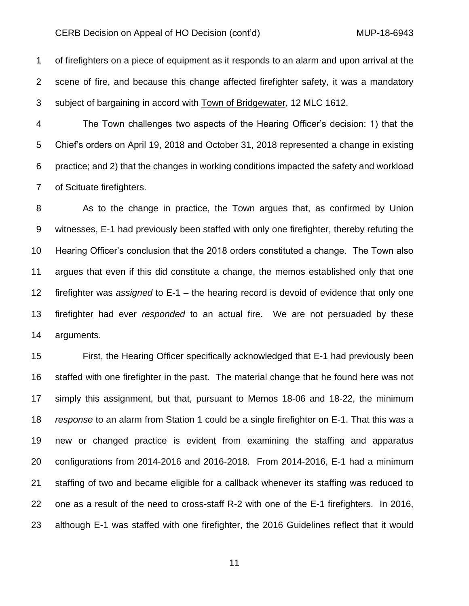of firefighters on a piece of equipment as it responds to an alarm and upon arrival at the scene of fire, and because this change affected firefighter safety, it was a mandatory subject of bargaining in accord with Town of Bridgewater, 12 MLC 1612.

 The Town challenges two aspects of the Hearing Officer's decision: 1) that the Chief's orders on April 19, 2018 and October 31, 2018 represented a change in existing practice; and 2) that the changes in working conditions impacted the safety and workload of Scituate firefighters.

 As to the change in practice, the Town argues that, as confirmed by Union witnesses, E-1 had previously been staffed with only one firefighter, thereby refuting the Hearing Officer's conclusion that the 2018 orders constituted a change. The Town also argues that even if this did constitute a change, the memos established only that one firefighter was *assigned* to E-1 – the hearing record is devoid of evidence that only one firefighter had ever *responded* to an actual fire. We are not persuaded by these arguments.

 First, the Hearing Officer specifically acknowledged that E-1 had previously been staffed with one firefighter in the past. The material change that he found here was not simply this assignment, but that, pursuant to Memos 18-06 and 18-22, the minimum *response* to an alarm from Station 1 could be a single firefighter on E-1. That this was a new or changed practice is evident from examining the staffing and apparatus configurations from 2014-2016 and 2016-2018. From 2014-2016, E-1 had a minimum staffing of two and became eligible for a callback whenever its staffing was reduced to one as a result of the need to cross-staff R-2 with one of the E-1 firefighters. In 2016, although E-1 was staffed with one firefighter, the 2016 Guidelines reflect that it would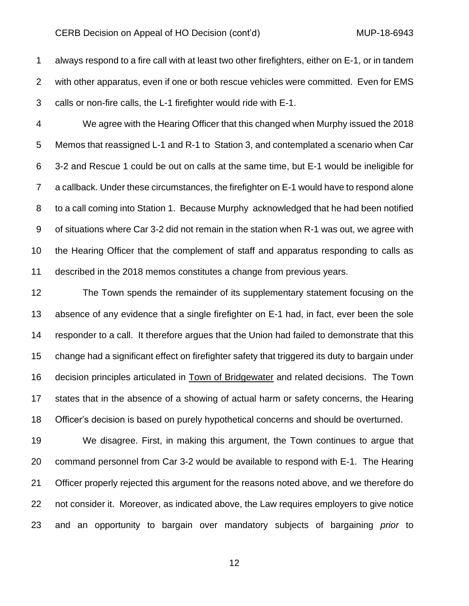always respond to a fire call with at least two other firefighters, either on E-1, or in tandem with other apparatus, even if one or both rescue vehicles were committed. Even for EMS calls or non-fire calls, the L-1 firefighter would ride with E-1.

 We agree with the Hearing Officer that this changed when Murphy issued the 2018 Memos that reassigned L-1 and R-1 to Station 3, and contemplated a scenario when Car 3-2 and Rescue 1 could be out on calls at the same time, but E-1 would be ineligible for a callback. Under these circumstances, the firefighter on E-1 would have to respond alone to a call coming into Station 1. Because Murphy acknowledged that he had been notified of situations where Car 3-2 did not remain in the station when R-1 was out, we agree with the Hearing Officer that the complement of staff and apparatus responding to calls as described in the 2018 memos constitutes a change from previous years.

 The Town spends the remainder of its supplementary statement focusing on the absence of any evidence that a single firefighter on E-1 had, in fact, ever been the sole responder to a call. It therefore argues that the Union had failed to demonstrate that this change had a significant effect on firefighter safety that triggered its duty to bargain under decision principles articulated in Town of Bridgewater and related decisions. The Town states that in the absence of a showing of actual harm or safety concerns, the Hearing Officer's decision is based on purely hypothetical concerns and should be overturned.

 We disagree. First, in making this argument, the Town continues to argue that command personnel from Car 3-2 would be available to respond with E-1. The Hearing Officer properly rejected this argument for the reasons noted above, and we therefore do not consider it. Moreover, as indicated above, the Law requires employers to give notice and an opportunity to bargain over mandatory subjects of bargaining *prior* to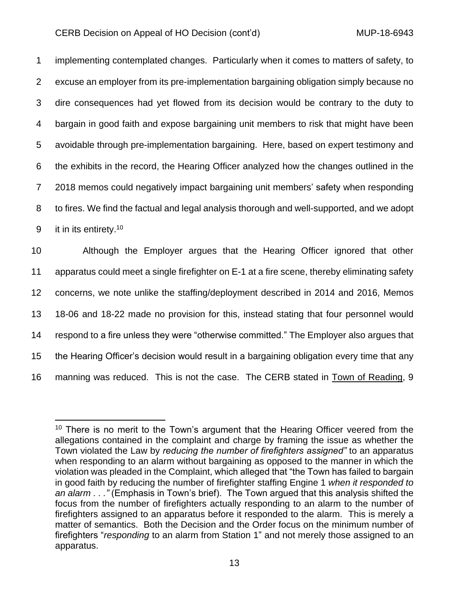implementing contemplated changes. Particularly when it comes to matters of safety, to excuse an employer from its pre-implementation bargaining obligation simply because no dire consequences had yet flowed from its decision would be contrary to the duty to bargain in good faith and expose bargaining unit members to risk that might have been avoidable through pre-implementation bargaining. Here, based on expert testimony and the exhibits in the record, the Hearing Officer analyzed how the changes outlined in the 2018 memos could negatively impact bargaining unit members' safety when responding to fires. We find the factual and legal analysis thorough and well-supported, and we adopt 9 it in its entirety.<sup>10</sup>

 Although the Employer argues that the Hearing Officer ignored that other apparatus could meet a single firefighter on E-1 at a fire scene, thereby eliminating safety concerns, we note unlike the staffing/deployment described in 2014 and 2016, Memos 18-06 and 18-22 made no provision for this, instead stating that four personnel would respond to a fire unless they were "otherwise committed." The Employer also argues that the Hearing Officer's decision would result in a bargaining obligation every time that any manning was reduced. This is not the case. The CERB stated in Town of Reading, 9

 $10$  There is no merit to the Town's argument that the Hearing Officer veered from the allegations contained in the complaint and charge by framing the issue as whether the Town violated the Law by *reducing the number of firefighters assigned"* to an apparatus when responding to an alarm without bargaining as opposed to the manner in which the violation was pleaded in the Complaint, which alleged that "the Town has failed to bargain in good faith by reducing the number of firefighter staffing Engine 1 *when it responded to an alarm . . ."* (Emphasis in Town's brief). The Town argued that this analysis shifted the focus from the number of firefighters actually responding to an alarm to the number of firefighters assigned to an apparatus before it responded to the alarm. This is merely a matter of semantics. Both the Decision and the Order focus on the minimum number of firefighters "*responding* to an alarm from Station 1" and not merely those assigned to an apparatus.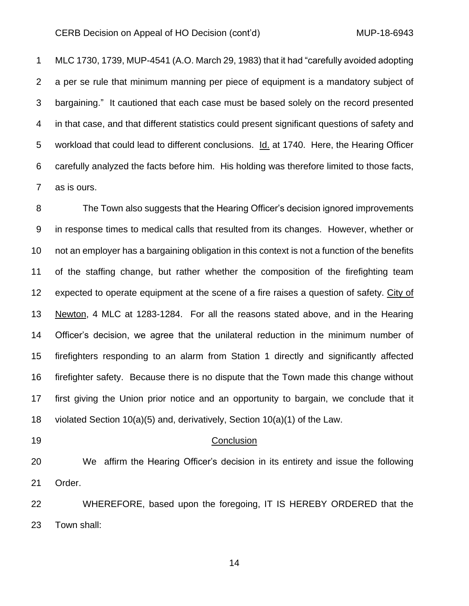MLC 1730, 1739, MUP-4541 (A.O. March 29, 1983) that it had "carefully avoided adopting a per se rule that minimum manning per piece of equipment is a mandatory subject of bargaining." It cautioned that each case must be based solely on the record presented in that case, and that different statistics could present significant questions of safety and workload that could lead to different conclusions. Id. at 1740. Here, the Hearing Officer carefully analyzed the facts before him. His holding was therefore limited to those facts, as is ours.

 The Town also suggests that the Hearing Officer's decision ignored improvements in response times to medical calls that resulted from its changes. However, whether or not an employer has a bargaining obligation in this context is not a function of the benefits of the staffing change, but rather whether the composition of the firefighting team expected to operate equipment at the scene of a fire raises a question of safety. City of Newton, 4 MLC at 1283-1284. For all the reasons stated above, and in the Hearing Officer's decision, we agree that the unilateral reduction in the minimum number of firefighters responding to an alarm from Station 1 directly and significantly affected firefighter safety. Because there is no dispute that the Town made this change without first giving the Union prior notice and an opportunity to bargain, we conclude that it violated Section 10(a)(5) and, derivatively, Section 10(a)(1) of the Law.

#### 19 Conclusion

 We affirm the Hearing Officer's decision in its entirety and issue the following Order.

 WHEREFORE, based upon the foregoing, IT IS HEREBY ORDERED that the Town shall: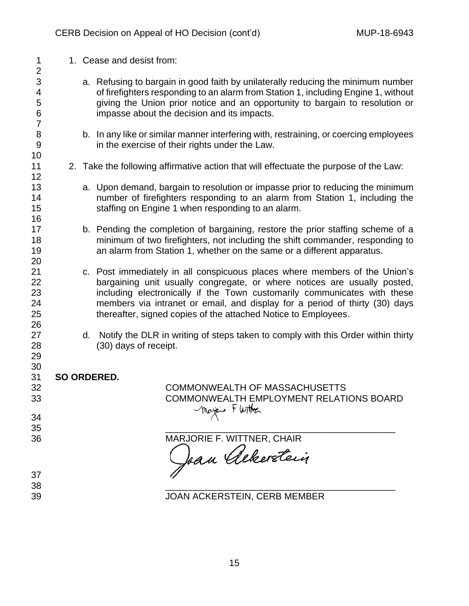| 1<br>$\overline{c}$                                                    |  | 1. Cease and desist from:                                                                                                                                                                                                                                                                                                                                                           |  |  |
|------------------------------------------------------------------------|--|-------------------------------------------------------------------------------------------------------------------------------------------------------------------------------------------------------------------------------------------------------------------------------------------------------------------------------------------------------------------------------------|--|--|
| 3<br>$\overline{\mathcal{A}}$<br>5<br>$\overline{6}$<br>$\overline{7}$ |  | a. Refusing to bargain in good faith by unilaterally reducing the minimum number<br>of firefighters responding to an alarm from Station 1, including Engine 1, without<br>giving the Union prior notice and an opportunity to bargain to resolution or<br>impasse about the decision and its impacts.                                                                               |  |  |
| $\bf 8$<br>$\overline{9}$<br>10                                        |  | b. In any like or similar manner interfering with, restraining, or coercing employees<br>in the exercise of their rights under the Law.                                                                                                                                                                                                                                             |  |  |
| 11<br>12                                                               |  | 2. Take the following affirmative action that will effectuate the purpose of the Law:                                                                                                                                                                                                                                                                                               |  |  |
| 13<br>14<br>15<br>16                                                   |  | a. Upon demand, bargain to resolution or impasse prior to reducing the minimum<br>number of firefighters responding to an alarm from Station 1, including the<br>staffing on Engine 1 when responding to an alarm.                                                                                                                                                                  |  |  |
| 17<br>18<br>19<br>20                                                   |  | b. Pending the completion of bargaining, restore the prior staffing scheme of a<br>minimum of two firefighters, not including the shift commander, responding to<br>an alarm from Station 1, whether on the same or a different apparatus.                                                                                                                                          |  |  |
| 21<br>22<br>23<br>24<br>25                                             |  | c. Post immediately in all conspicuous places where members of the Union's<br>bargaining unit usually congregate, or where notices are usually posted,<br>including electronically if the Town customarily communicates with these<br>members via intranet or email, and display for a period of thirty (30) days<br>thereafter, signed copies of the attached Notice to Employees. |  |  |
| 26<br>27<br>28<br>29                                                   |  | d. Notify the DLR in writing of steps taken to comply with this Order within thirty<br>(30) days of receipt.                                                                                                                                                                                                                                                                        |  |  |
| 30<br>31<br>32<br>33<br>34                                             |  | SO ORDERED.<br><b>COMMONWEALTH OF MASSACHUSETTS</b><br>COMMONWEALTH EMPLOYMENT RELATIONS BOARD<br>Majois Flutthen                                                                                                                                                                                                                                                                   |  |  |
| 35                                                                     |  |                                                                                                                                                                                                                                                                                                                                                                                     |  |  |
| 36                                                                     |  | MARJORIE F. WITTNER, CHAIR<br>Jan Alberstein                                                                                                                                                                                                                                                                                                                                        |  |  |
| 37                                                                     |  |                                                                                                                                                                                                                                                                                                                                                                                     |  |  |
| 38<br>39                                                               |  | JOAN ACKERSTEIN, CERB MEMBER                                                                                                                                                                                                                                                                                                                                                        |  |  |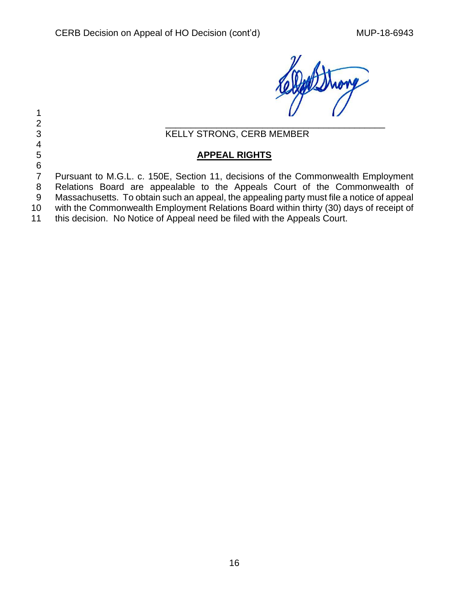Morg

 $\frac{1}{2}$ 2  $\frac{4}{5}$ 

# 3 KELLY STRONG, CERB MEMBER

## 5 **APPEAL RIGHTS**

6<br>7 Pursuant to M.G.L. c. 150E, Section 11, decisions of the Commonwealth Employment 8 Relations Board are appealable to the Appeals Court of the Commonwealth of

- 9 Massachusetts. To obtain such an appeal, the appealing party must file a notice of appeal
- 10 with the Commonwealth Employment Relations Board within thirty (30) days of receipt of
- 11 this decision. No Notice of Appeal need be filed with the Appeals Court.